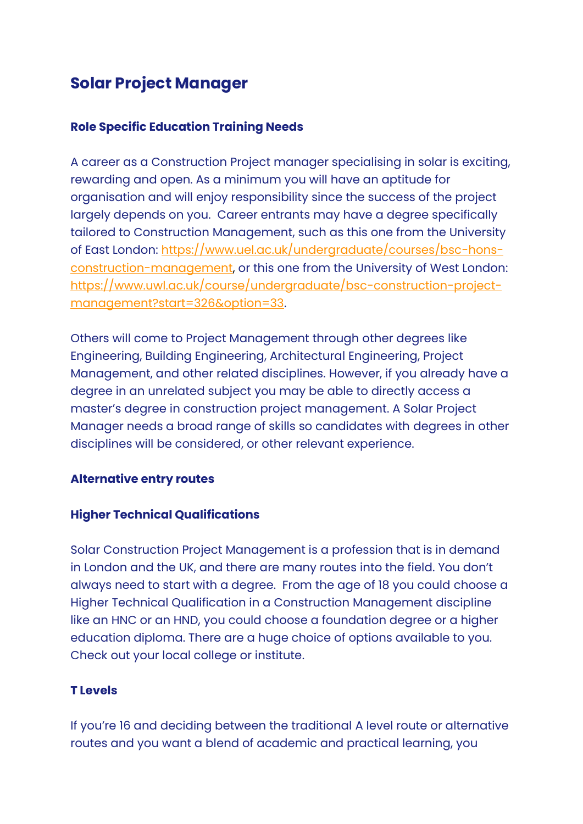# **Solar Project Manager**

# **Role Specific Education Training Needs**

A career as a Construction Project manager specialising in solar is exciting, rewarding and open. As a minimum you will have an aptitude for organisation and will enjoy responsibility since the success of the project largely depends on you. Career entrants may have a degree specifically tailored to Construction Management, such as this one from the University of East London: [https://www.uel.ac.uk/undergraduate/courses/bsc-hons](https://www.uel.ac.uk/undergraduate/courses/bsc-hons-construction-management)[construction-management,](https://www.uel.ac.uk/undergraduate/courses/bsc-hons-construction-management) or this one from the University of West London: [https://www.uwl.ac.uk/course/undergraduate/bsc-construction-project](https://www.uwl.ac.uk/course/undergraduate/bsc-construction-project-management?start=326&option=33)[management?start=326&option=33.](https://www.uwl.ac.uk/course/undergraduate/bsc-construction-project-management?start=326&option=33)

Others will come to Project Management through other degrees like Engineering, Building Engineering, Architectural Engineering, Project Management, and other related disciplines. However, if you already have a degree in an unrelated subject you may be able to directly access a master's degree in construction project management. A Solar Project Manager needs a broad range of skills so candidates with degrees in other disciplines will be considered, or other relevant experience.

# **Alternative entry routes**

#### **Higher Technical Qualifications**

Solar Construction Project Management is a profession that is in demand in London and the UK, and there are many routes into the field. You don't always need to start with a degree. From the age of 18 you could choose a Higher Technical Qualification in a Construction Management discipline like an HNC or an HND, you could choose a foundation degree or a higher education diploma. There are a huge choice of options available to you. Check out your local college or institute.

# **T Levels**

If you're 16 and deciding between the traditional A level route or alternative routes and you want a blend of academic and practical learning, you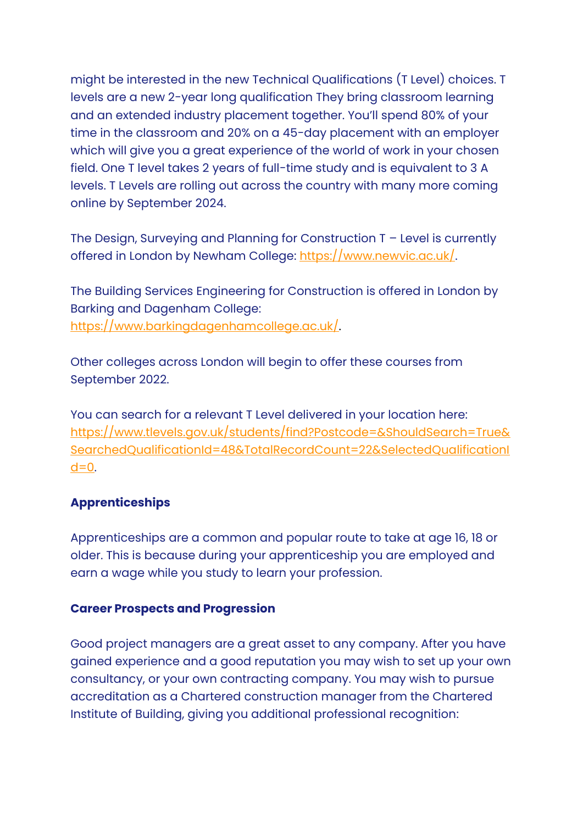might be interested in the new Technical Qualifications (T Level) choices. T levels are a new 2-year long qualification They bring classroom learning and an extended industry placement together. You'll spend 80% of your time in the classroom and 20% on a 45-day placement with an employer which will give you a great experience of the world of work in your chosen field. One T level takes 2 years of full-time study and is equivalent to 3 A levels. T Levels are rolling out across the country with many more coming online by September 2024.

The Design, Surveying and Planning for Construction T – Level is currently offered in London by Newham College: [https://www.newvic.ac.uk/.](https://www.newvic.ac.uk/)

The Building Services Engineering for Construction is offered in London by Barking and Dagenham College: [https://www.barkingdagenhamcollege.ac.uk/.](https://www.barkingdagenhamcollege.ac.uk/)

Other colleges across London will begin to offer these courses from September 2022.

You can search for a relevant T Level delivered in your location here: [https://www.tlevels.gov.uk/students/find?Postcode=&ShouldSearch=True&](https://www.tlevels.gov.uk/students/find?Postcode=&ShouldSearch=True&SearchedQualificationId=48&TotalRecordCount=22&SelectedQualificationId=0) [SearchedQualificationId=48&TotalRecordCount=22&SelectedQualificationI](https://www.tlevels.gov.uk/students/find?Postcode=&ShouldSearch=True&SearchedQualificationId=48&TotalRecordCount=22&SelectedQualificationId=0)  $d=0$ .

#### **Apprenticeships**

Apprenticeships are a common and popular route to take at age 16, 18 or older. This is because during your apprenticeship you are employed and earn a wage while you study to learn your profession.

#### **Career Prospects and Progression**

Good project managers are a great asset to any company. After you have gained experience and a good reputation you may wish to set up your own consultancy, or your own contracting company. You may wish to pursue accreditation as a Chartered construction manager from the Chartered Institute of Building, giving you additional professional recognition: